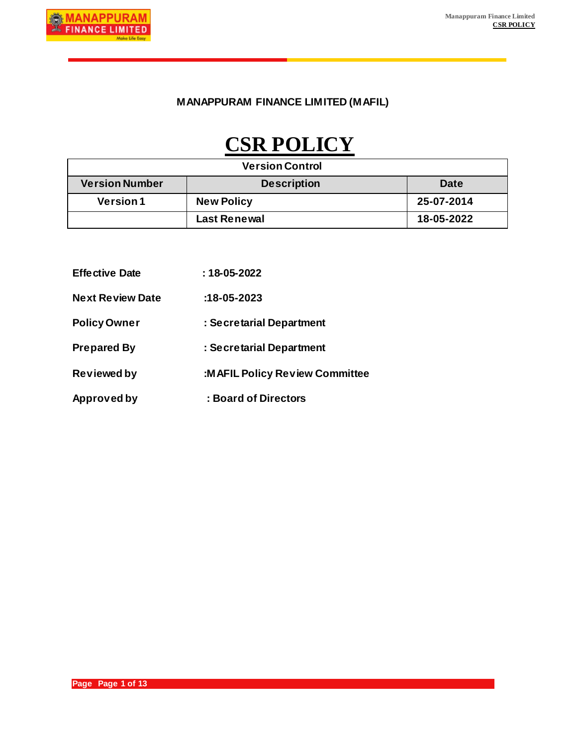### **MANAPPURAM FINANCE LIMITED (MAFIL)**

# **CSR POLICY**

| <b>Version Control</b> |                     |            |  |
|------------------------|---------------------|------------|--|
| <b>Version Number</b>  | <b>Description</b>  | Date       |  |
| <b>Version 1</b>       | <b>New Policy</b>   | 25-07-2014 |  |
|                        | <b>Last Renewal</b> | 18-05-2022 |  |

| <b>Effective Date</b>   | : 18-05-2022                   |
|-------------------------|--------------------------------|
| <b>Next Review Date</b> | $:18-05-2023$                  |
| <b>Policy Owner</b>     | : Secretarial Department       |
| <b>Prepared By</b>      | : Secretarial Department       |
| <b>Reviewed by</b>      | :MAFIL Policy Review Committee |
| Approved by             | : Board of Directors           |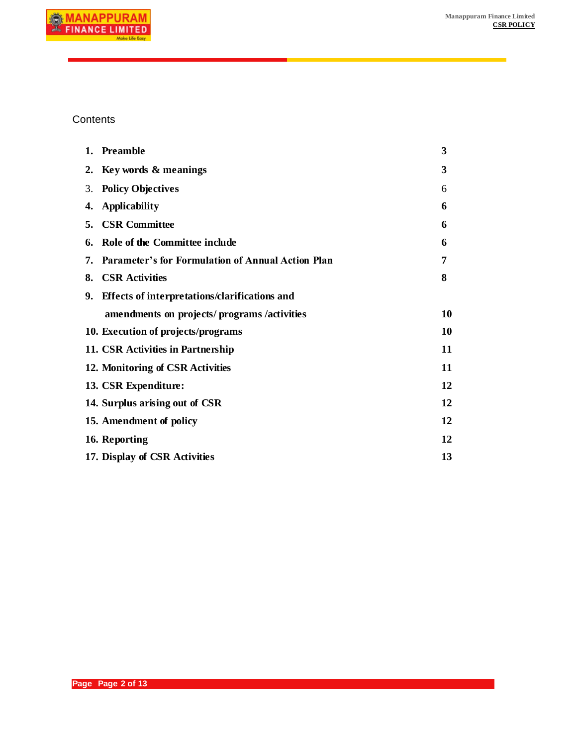

### **Contents**

|    | 1. Preamble                                              | 3  |
|----|----------------------------------------------------------|----|
|    | 2. Key words & meanings                                  | 3  |
| 3. | <b>Policy Objectives</b>                                 | 6  |
| 4. | <b>Applicability</b>                                     | 6  |
|    | 5. CSR Committee                                         | 6  |
| 6. | Role of the Committee include                            | 6  |
| 7. | <b>Parameter's for Formulation of Annual Action Plan</b> | 7  |
|    | 8. CSR Activities                                        | 8  |
|    | 9. Effects of interpretations/clarifications and         |    |
|    | amendments on projects/programs/activities               | 10 |
|    | 10. Execution of projects/programs                       | 10 |
|    | 11. CSR Activities in Partnership                        | 11 |
|    | 12. Monitoring of CSR Activities                         | 11 |
|    | 13. CSR Expenditure:                                     | 12 |
|    | 14. Surplus arising out of CSR                           | 12 |
|    | 15. Amendment of policy                                  | 12 |
|    | 16. Reporting                                            | 12 |
|    | 17. Display of CSR Activities                            |    |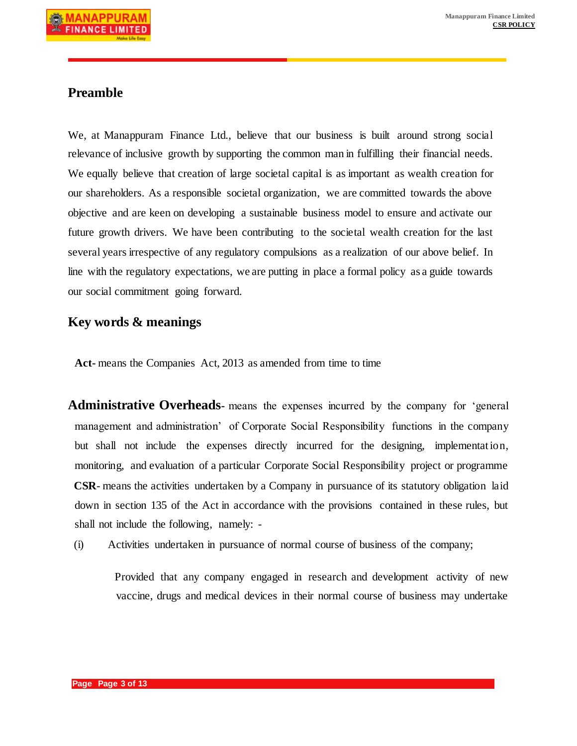# **Preamble**

We, at Manappuram Finance Ltd., believe that our business is built around strong social relevance of inclusive growth by supporting the common man in fulfilling their financial needs. We equally believe that creation of large societal capital is as important as wealth creation for our shareholders. As a responsible societal organization, we are committed towards the above objective and are keen on developing a sustainable business model to ensure and activate our future growth drivers. We have been contributing to the societal wealth creation for the last several years irrespective of any regulatory compulsions as a realization of our above belief. In line with the regulatory expectations, we are putting in place a formal policy as a guide towards our social commitment going forward.

### **Key words & meanings**

**Act-** means the Companies Act, 2013 as amended from time to time

**Administrative Overheads-** means the expenses incurred by the company for 'general management and administration' of Corporate Social Responsibility functions in the company but shall not include the expenses directly incurred for the designing, implementation, monitoring, and evaluation of a particular Corporate Social Responsibility project or programme **CSR**- means the activities undertaken by a Company in pursuance of its statutory obligation laid down in section 135 of the Act in accordance with the provisions contained in these rules, but shall not include the following, namely: -

(i) Activities undertaken in pursuance of normal course of business of the company;

Provided that any company engaged in research and development activity of new vaccine, drugs and medical devices in their normal course of business may undertake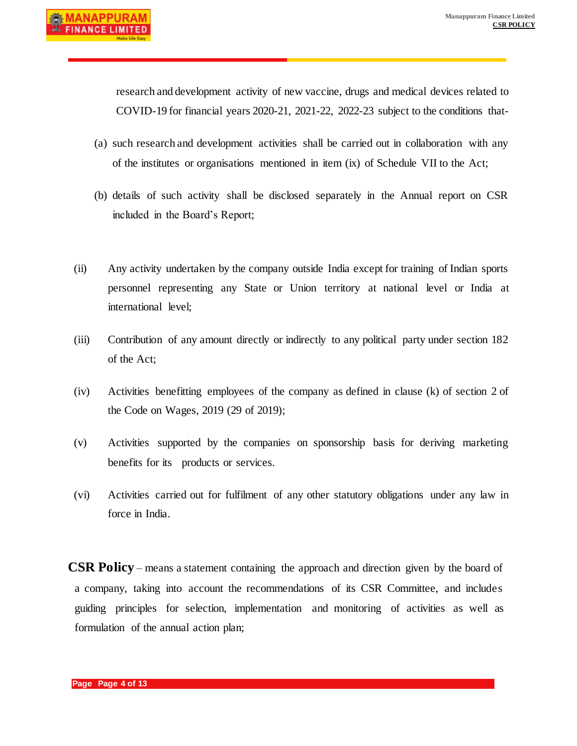research and development activity of new vaccine, drugs and medical devices related to COVID-19 for financial years 2020-21, 2021-22, 2022-23 subject to the conditions that-

- (a) such research and development activities shall be carried out in collaboration with any of the institutes or organisations mentioned in item (ix) of Schedule VII to the Act;
- (b) details of such activity shall be disclosed separately in the Annual report on CSR included in the Board's Report;
- (ii) Any activity undertaken by the company outside India except for training of Indian sports personnel representing any State or Union territory at national level or India at international level;
- (iii) Contribution of any amount directly or indirectly to any political party under section 182 of the Act;
- (iv) Activities benefitting employees of the company as defined in clause (k) of section 2 of the Code on Wages, 2019 (29 of 2019);
- (v) Activities supported by the companies on sponsorship basis for deriving marketing benefits for its products or services.
- (vi) Activities carried out for fulfilment of any other statutory obligations under any law in force in India.

**CSR Policy** – means a statement containing the approach and direction given by the board of a company, taking into account the recommendations of its CSR Committee, and includes guiding principles for selection, implementation and monitoring of activities as well as formulation of the annual action plan;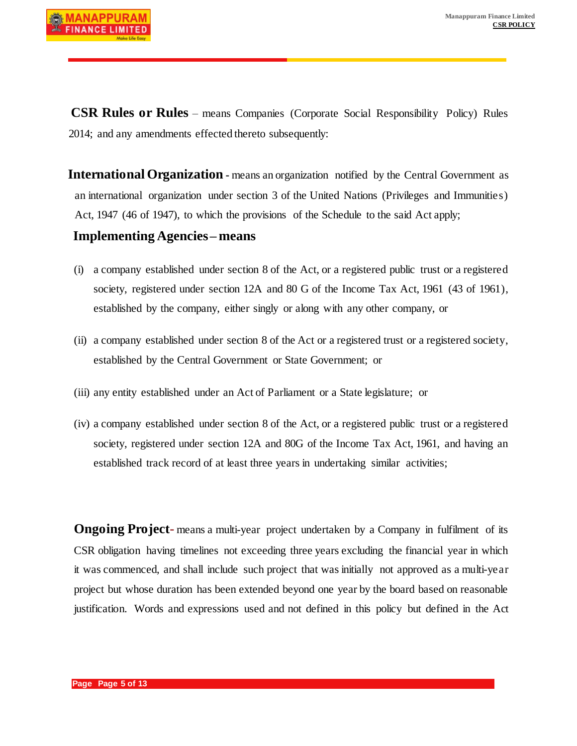

**CSR Rules or Rules** – means Companies (Corporate Social Responsibility Policy) Rules 2014; and any amendments effected thereto subsequently:

**International Organization -** means an organization notified by the Central Government as an international organization under section 3 of the United Nations (Privileges and Immunities) Act, 1947 (46 of 1947), to which the provisions of the Schedule to the said Act apply;

#### **Implementing Agencies – means**

- (i) a company established under section 8 of the Act, or a registered public trust or a registered society, registered under section 12A and 80 G of the Income Tax Act, 1961 (43 of 1961), established by the company, either singly or along with any other company, or
- (ii) a company established under section 8 of the Act or a registered trust or a registered society, established by the Central Government or State Government; or
- (iii) any entity established under an Act of Parliament or a State legislature; or
- (iv) a company established under section 8 of the Act, or a registered public trust or a registered society, registered under section 12A and 80G of the Income Tax Act, 1961, and having an established track record of at least three years in undertaking similar activities;

**Ongoing Project**- means a multi-year project undertaken by a Company in fulfilment of its CSR obligation having timelines not exceeding three years excluding the financial year in which it was commenced, and shall include such project that was initially not approved as a multi-year project but whose duration has been extended beyond one year by the board based on reasonable justification. Words and expressions used and not defined in this policy but defined in the Act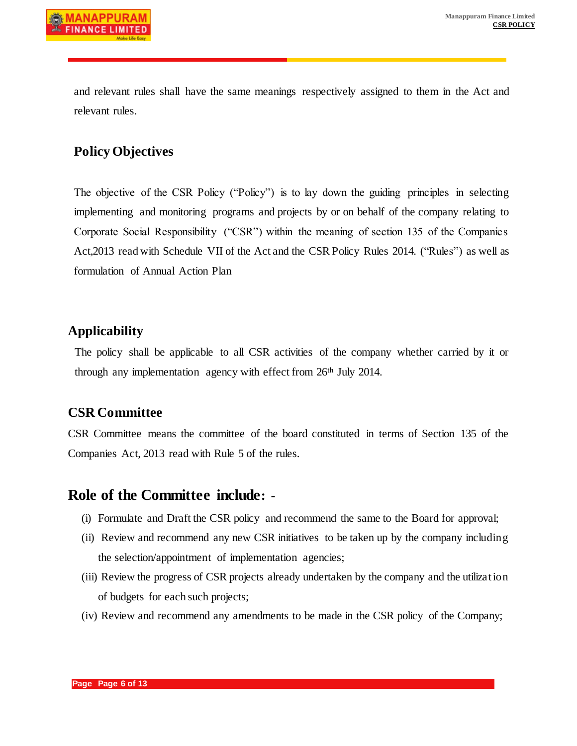and relevant rules shall have the same meanings respectively assigned to them in the Act and relevant rules.

# **Policy Objectives**

The objective of the CSR Policy ("Policy") is to lay down the guiding principles in selecting implementing and monitoring programs and projects by or on behalf of the company relating to Corporate Social Responsibility ("CSR") within the meaning of section 135 of the Companies Act,2013 read with Schedule VII of the Act and the CSR Policy Rules 2014. ("Rules") as well as formulation of Annual Action Plan

### **Applicability**

The policy shall be applicable to all CSR activities of the company whether carried by it or through any implementation agency with effect from 26th July 2014.

# **CSR Committee**

CSR Committee means the committee of the board constituted in terms of Section 135 of the Companies Act, 2013 read with Rule 5 of the rules.

# **Role of the Committee include: -**

- (i) Formulate and Draft the CSR policy and recommend the same to the Board for approval;
- (ii) Review and recommend any new CSR initiatives to be taken up by the company including the selection/appointment of implementation agencies;
- (iii) Review the progress of CSR projects already undertaken by the company and the utilization of budgets for each such projects;
- (iv) Review and recommend any amendments to be made in the CSR policy of the Company;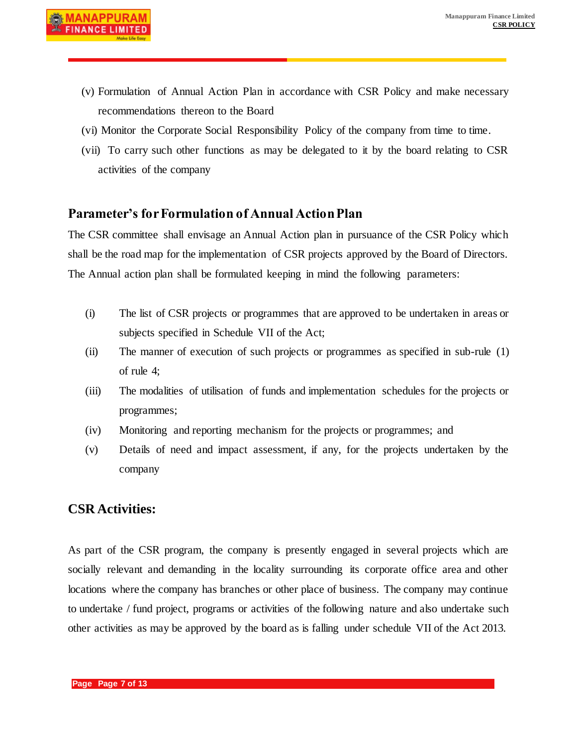- (v) Formulation of Annual Action Plan in accordance with CSR Policy and make necessary recommendations thereon to the Board
- (vi) Monitor the Corporate Social Responsibility Policy of the company from time to time.
- (vii) To carry such other functions as may be delegated to it by the board relating to CSR activities of the company

# **Parameter's for Formulation of Annual Action Plan**

The CSR committee shall envisage an Annual Action plan in pursuance of the CSR Policy which shall be the road map for the implementation of CSR projects approved by the Board of Directors. The Annual action plan shall be formulated keeping in mind the following parameters:

- (i) The list of CSR projects or programmes that are approved to be undertaken in areas or subjects specified in Schedule VII of the Act;
- (ii) The manner of execution of such projects or programmes as specified in sub-rule (1) of rule 4;
- (iii) The modalities of utilisation of funds and implementation schedules for the projects or programmes;
- (iv) Monitoring and reporting mechanism for the projects or programmes; and
- (v) Details of need and impact assessment, if any, for the projects undertaken by the company

# **CSR Activities:**

As part of the CSR program, the company is presently engaged in several projects which are socially relevant and demanding in the locality surrounding its corporate office area and other locations where the company has branches or other place of business. The company may continue to undertake / fund project, programs or activities of the following nature and also undertake such other activities as may be approved by the board as is falling under schedule VII of the Act 2013.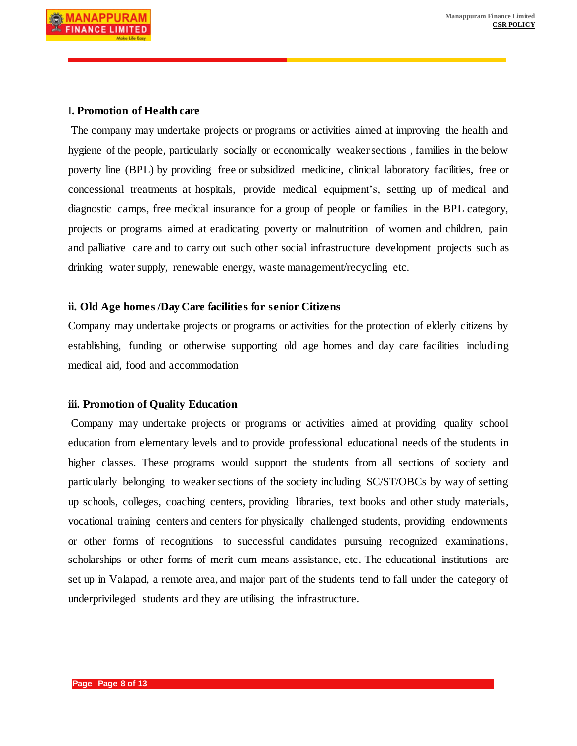#### I**. Promotion of Health care**

The company may undertake projects or programs or activities aimed at improving the health and hygiene of the people, particularly socially or economically weaker sections , families in the below poverty line (BPL) by providing free or subsidized medicine, clinical laboratory facilities, free or concessional treatments at hospitals, provide medical equipment's, setting up of medical and diagnostic camps, free medical insurance for a group of people or families in the BPL category, projects or programs aimed at eradicating poverty or malnutrition of women and children, pain and palliative care and to carry out such other social infrastructure development projects such as drinking water supply, renewable energy, waste management/recycling etc.

#### **ii. Old Age homes /Day Care facilities for senior Citizens**

Company may undertake projects or programs or activities for the protection of elderly citizens by establishing, funding or otherwise supporting old age homes and day care facilities including medical aid, food and accommodation

#### **iii. Promotion of Quality Education**

Company may undertake projects or programs or activities aimed at providing quality school education from elementary levels and to provide professional educational needs of the students in higher classes. These programs would support the students from all sections of society and particularly belonging to weaker sections of the society including SC/ST/OBCs by way of setting up schools, colleges, coaching centers, providing libraries, text books and other study materials, vocational training centers and centers for physically challenged students, providing endowments or other forms of recognitions to successful candidates pursuing recognized examinations, scholarships or other forms of merit cum means assistance, etc. The educational institutions are set up in Valapad, a remote area, and major part of the students tend to fall under the category of underprivileged students and they are utilising the infrastructure.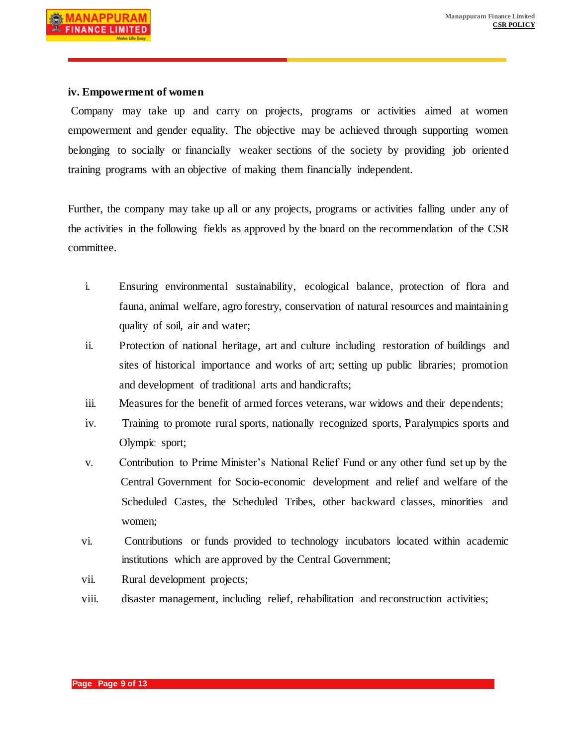#### **iv. Empowerment of women**

Company may take up and carry on projects, programs or activities aimed at women empowerment and gender equality. The objective may be achieved through supporting women belonging to socially or financially weaker sections of the society by providing job oriented training programs with an objective of making them financially independent.

Further, the company may take up all or any projects, programs or activities falling under any of the activities in the following fields as approved by the board on the recommendation of the CSR committee.

- i. Ensuring environmental sustainability, ecological balance, protection of flora and fauna, animal welfare, agro forestry, conservation of natural resources and maintaining quality of soil, air and water;
- ii. Protection of national heritage, art and culture including restoration of buildings and sites of historical importance and works of art; setting up public libraries; promotion and development of traditional arts and handicrafts;
- iii. Measures for the benefit of armed forces veterans, war widows and their dependents;
- iv. Training to promote rural sports, nationally recognized sports, Paralympics sports and Olympic sport;
- v. Contribution to Prime Minister's National Relief Fund or any other fund set up by the Central Government for Socio-economic development and relief and welfare of the Scheduled Castes, the Scheduled Tribes, other backward classes, minorities and women;
- vi. Contributions or funds provided to technology incubators located within academic institutions which are approved by the Central Government;
- vii. Rural development projects;
- viii. disaster management, including relief, rehabilitation and reconstruction activities;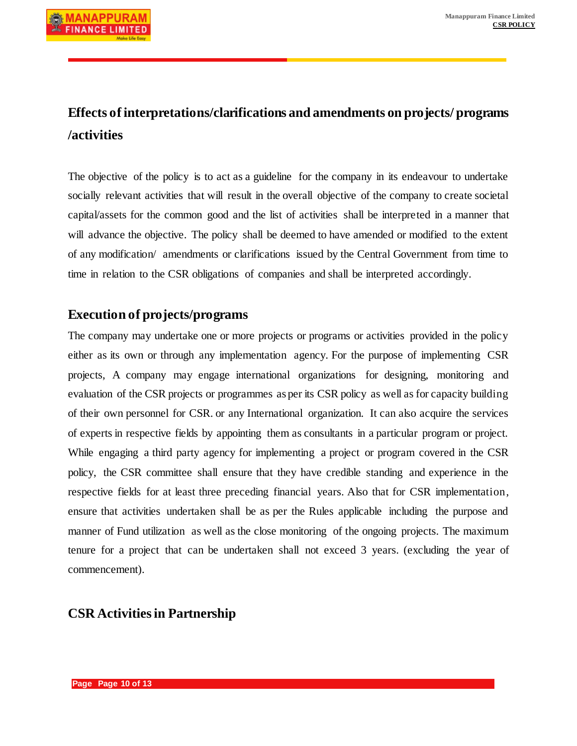# **Effects of interpretations/clarifications and amendments on projects/ programs /activities**

The objective of the policy is to act as a guideline for the company in its endeavour to undertake socially relevant activities that will result in the overall objective of the company to create societal capital/assets for the common good and the list of activities shall be interpreted in a manner that will advance the objective. The policy shall be deemed to have amended or modified to the extent of any modification/ amendments or clarifications issued by the Central Government from time to time in relation to the CSR obligations of companies and shall be interpreted accordingly.

# **Execution of projects/programs**

The company may undertake one or more projects or programs or activities provided in the policy either as its own or through any implementation agency. For the purpose of implementing CSR projects, A company may engage international organizations for designing, monitoring and evaluation of the CSR projects or programmes as per its CSR policy as well as for capacity building of their own personnel for CSR. or any International organization. It can also acquire the services of experts in respective fields by appointing them as consultants in a particular program or project. While engaging a third party agency for implementing a project or program covered in the CSR policy, the CSR committee shall ensure that they have credible standing and experience in the respective fields for at least three preceding financial years. Also that for CSR implementation, ensure that activities undertaken shall be as per the Rules applicable including the purpose and manner of Fund utilization as well as the close monitoring of the ongoing projects. The maximum tenure for a project that can be undertaken shall not exceed 3 years. (excluding the year of commencement).

# **CSR Activities in Partnership**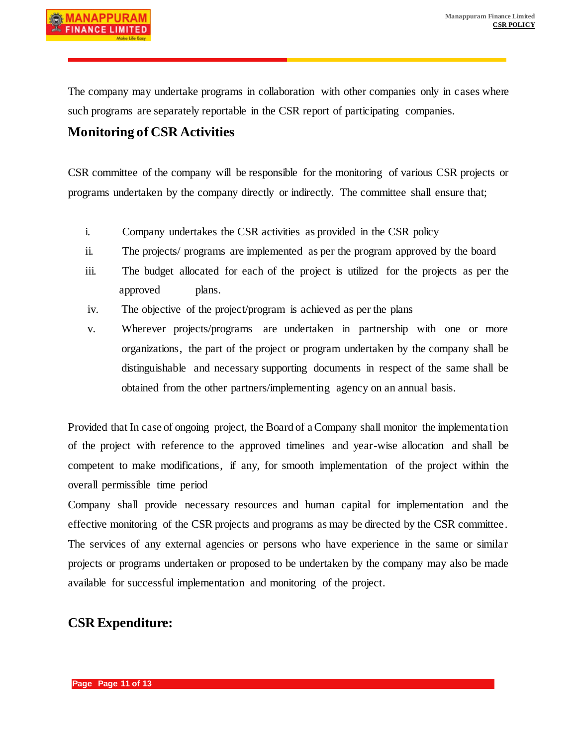The company may undertake programs in collaboration with other companies only in cases where such programs are separately reportable in the CSR report of participating companies.

# **Monitoring of CSR Activities**

CSR committee of the company will be responsible for the monitoring of various CSR projects or programs undertaken by the company directly or indirectly. The committee shall ensure that;

- i. Company undertakes the CSR activities as provided in the CSR policy
- ii. The projects/ programs are implemented as per the program approved by the board
- iii. The budget allocated for each of the project is utilized for the projects as per the approved plans.
- iv. The objective of the project/program is achieved as per the plans
- v. Wherever projects/programs are undertaken in partnership with one or more organizations, the part of the project or program undertaken by the company shall be distinguishable and necessary supporting documents in respect of the same shall be obtained from the other partners/implementing agency on an annual basis.

Provided that In case of ongoing project, the Board of a Company shall monitor the implementation of the project with reference to the approved timelines and year-wise allocation and shall be competent to make modifications, if any, for smooth implementation of the project within the overall permissible time period

Company shall provide necessary resources and human capital for implementation and the effective monitoring of the CSR projects and programs as may be directed by the CSR committee. The services of any external agencies or persons who have experience in the same or similar projects or programs undertaken or proposed to be undertaken by the company may also be made available for successful implementation and monitoring of the project.

# **CSR Expenditure:**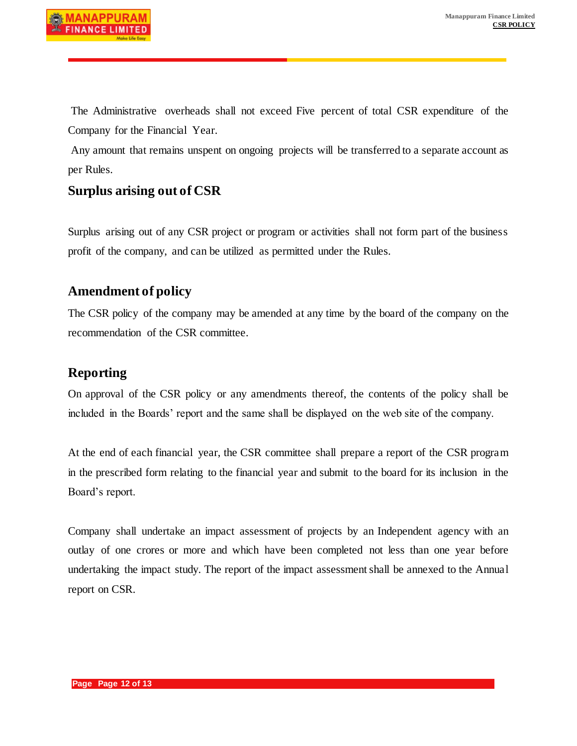The Administrative overheads shall not exceed Five percent of total CSR expenditure of the Company for the Financial Year.

Any amount that remains unspent on ongoing projects will be transferred to a separate account as per Rules.

# **Surplus arising out of CSR**

Surplus arising out of any CSR project or program or activities shall not form part of the business profit of the company, and can be utilized as permitted under the Rules.

# **Amendment of policy**

The CSR policy of the company may be amended at any time by the board of the company on the recommendation of the CSR committee.

### **Reporting**

On approval of the CSR policy or any amendments thereof, the contents of the policy shall be included in the Boards' report and the same shall be displayed on the web site of the company.

At the end of each financial year, the CSR committee shall prepare a report of the CSR program in the prescribed form relating to the financial year and submit to the board for its inclusion in the Board's report.

Company shall undertake an impact assessment of projects by an Independent agency with an outlay of one crores or more and which have been completed not less than one year before undertaking the impact study. The report of the impact assessment shall be annexed to the Annual report on CSR.